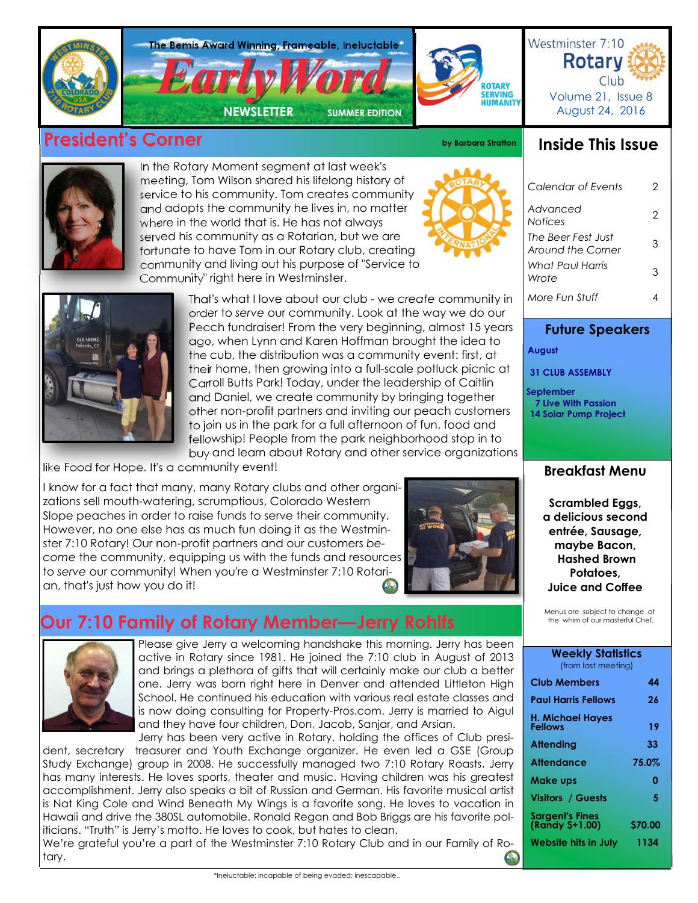

## **President's Corner and Corner by Barbara Stratton**



In the Rotary Moment segment at last week's meeting, Tom Wilson shared his lifelong history of service to his community. Tom creates community and adopts the community he lives in, no matter where in the world that is. He has not always served his community as a Rotarian, but we are fortunate to have Tom in our Rotary club, creating community and living out his purpose of "Service to Community" right here in Westminster.



*Calendar of Events* 2 *Advanced Notices* <sup>2</sup> *The Beer Fest Just Around the Corner* <sup>3</sup> *More Fun Stuff* 4 *What Paul Harris Wrote* <sup>3</sup>

**Future Speakers**

 **August** 

 **September**

 **31 CLUB ASSEMBLY**

 **7 Live With Passion 14 Solar Pump Project**

**Inside This Issue**



That's what I love about our club - we *create* community in order to *serve* our community. Look at the way we do our Peach fundraiser! From the very beginning, almost 15 years ago, when Lynn and Karen Hoffman brought the idea to the cub, the distribution was a community event: first, at their home, then growing into a full-scale potluck picnic at Carroll Butts Park! Today, under the leadership of Caitlin and Daniel, we create community by bringing together other non-profit partners and inviting our peach customers to join us in the park for a full afternoon of fun, food and fellowship! People from the park neighborhood stop in to buy and learn about Rotary and other service organizations

like Food for Hope. It's a community event!

I know for a fact that many, many Rotary clubs and other organizations sell mouth-watering, scrumptious, Colorado Western Slope peaches in order to raise funds to serve their community. However, no one else has as much fun doing it as the Westminster 7:10 Rotary! Our non-profit partners and our customers *become* the community, equipping us with the funds and resources to *serve* our community! When you're a Westminster 7:10 Rotarian, that's just how you do it!



## **Our 7:10 Family of Rotary Member—Jerry Rohlfs**



Please give Jerry a welcoming handshake this morning. Jerry has been active in Rotary since 1981. He joined the 7:10 club in August of 2013 and brings a plethora of gifts that will certainly make our club a better one. Jerry was born right here in Denver and attended Littleton High School. He continued his education with various real estate classes and is now doing consulting for Property-Pros.com. Jerry is married to Aigul and they have four children, Don, Jacob, Sanjar, and Arsian.

Jerry has been very active in Rotary, holding the offices of Club president, secretary treasurer and Youth Exchange organizer. He even led a GSE (Group Study Exchange) group in 2008. He successfully managed two 7:10 Rotary Roasts. Jerry has many interests. He loves sports, theater and music. Having children was his greatest accomplishment. Jerry also speaks a bit of Russian and German. His favorite musical artist is Nat King Cole and Wind Beneath My Wings is a favorite song. He loves to vacation in Hawaii and drive the 380SL automobile. Ronald Regan and Bob Briggs are his favorite politicians. "Truth" is Jerry's motto. He loves to cook, but hates to clean.

We're grateful you're a part of the Westminster 7:10 Rotary Club and in our Family of Rotary.

# **Breakfast Menu**

**Scrambled Eggs, a delicious second entrée, Sausage, maybe Bacon, Hashed Brown Potatoes, Juice and Coffee**

Menus are subject to change at the whim of our masterful Chef.

## **Weekly Statistics**

| (ITOM RUST MEENING)                                               |                       |
|-------------------------------------------------------------------|-----------------------|
| <b>Club Members</b>                                               | 44                    |
| Paul Harris Fellows                                               | 26                    |
| H. Michael Hayes<br>Fellows                                       | 19                    |
| Attending                                                         | 33                    |
| Attendance                                                        | 75.0%                 |
| Make ups                                                          | 0                     |
| <b>Visitors / Guests</b>                                          | 5                     |
| Sargent's Fines<br>(Randy \$+1.00)<br><b>Website hits in July</b> | <b>S70.00</b><br>1134 |
|                                                                   |                       |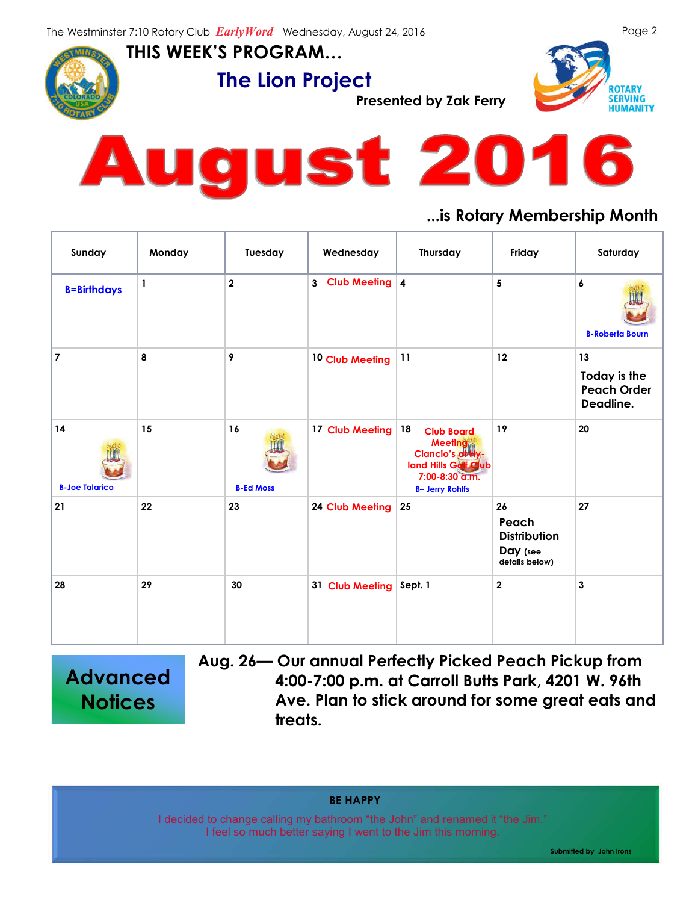**THIS WEEK'S PROGRAM…**

**The Lion Project**<br>Presented by Zak Ferry







### **...is Rotary Membership Month**

| Sunday                      | Monday       | Tuesday                | Wednesday        | Thursday                                                                                                                          | Friday                                                           | Saturday                                              |
|-----------------------------|--------------|------------------------|------------------|-----------------------------------------------------------------------------------------------------------------------------------|------------------------------------------------------------------|-------------------------------------------------------|
| <b>B=Birthdays</b>          | $\mathbf{1}$ | $\mathbf{2}$           | 3 Club Meeting 4 |                                                                                                                                   | 5                                                                | 6<br><b>B-Roberta Bourn</b>                           |
| $\overline{7}$              | 8            | 9                      | 10 Club Meeting  | 11                                                                                                                                | 12                                                               | 13<br>Today is the<br><b>Peach Order</b><br>Deadline. |
| 14<br><b>B-Joe Talarico</b> | 15           | 16<br><b>B-Ed Moss</b> | 17 Club Meeting  | 18<br><b>Club Board</b><br><b>Meeting</b><br>Ciancio's at Hy-<br>land Hills Golf Club<br>7:00-8:30 a.m.<br><b>B- Jerry Rohlfs</b> | 19                                                               | 20                                                    |
| 21                          | 22           | 23                     | 24 Club Meeting  | 25                                                                                                                                | 26<br>Peach<br><b>Distribution</b><br>Day (see<br>details below) | 27                                                    |
| 28                          | 29           | 30                     | 31 Club Meeting  | Sept. 1                                                                                                                           | $\mathbf 2$                                                      | $\mathbf{3}$                                          |

**Advanced Notices**

**Aug. 26— Our annual Perfectly Picked Peach Pickup from 4:00-7:00 p.m. at Carroll Butts Park, 4201 W. 96th Ave. Plan to stick around for some great eats and treats.**

**BE HAPPY**

I decided to change calling my bathroom "the John" and renamed it "the Jim." I feel so much better saying I went to the Jim this morning.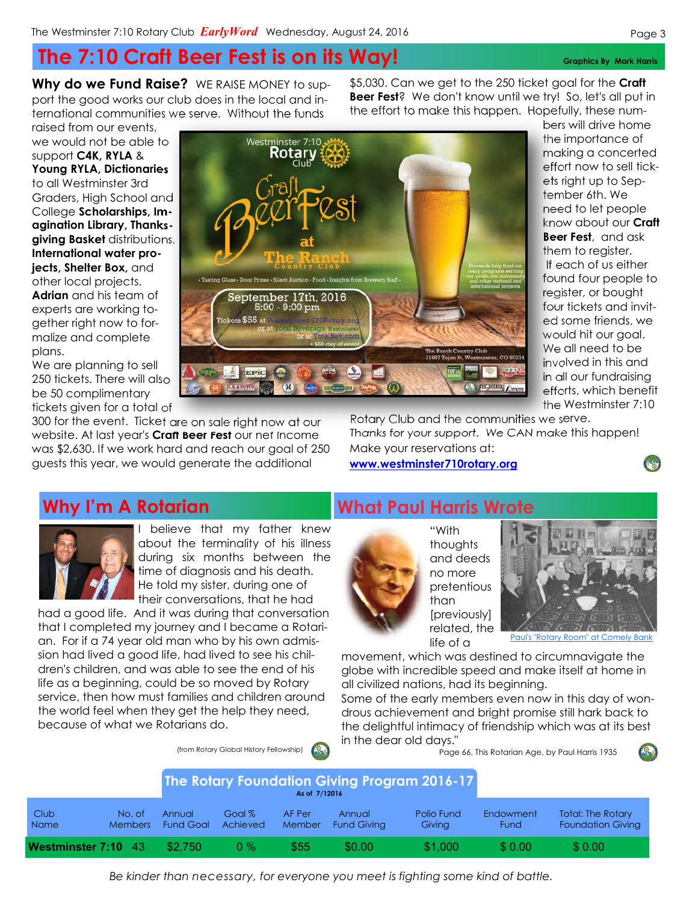# **The 7:10 Craft Beer Fest is on its Way!** Graphics By Mark Harris

Westminster 7:10 Rotarv

**Why do we Fund Raise?** WE RAISE MONEY to support the good works our club does in the local and international communities we serve. Without the funds

raised from our events, we would not be able to support **C4K, RYLA** & **Young RYLA, Dictionaries**  to all Westminster 3rd Graders, High School and College **Scholarships, Imagination Library, Thanksgiving Basket** distributions, **International water projects, Shelter Box,** and other local projects. **Adrian** and his team of experts are working together right now to formalize and complete plans.

We are planning to sell 250 tickets. There will also be 50 complimentary tickets given for a total of

300 for the event. Ticket are on sale right now at our website. At last year's **Craft Beer Fest** our net income was \$2,630. If we work hard and reach our goal of 250 guests this year, we would generate the additional

Rotary Club and the communities we serve. Thanks for your support. We CAN make this happen! Make your reservations at:

**www.westminster710rotary.org**



I believe that my father knew about the terminality of his illness during six months between the time of diagnosis and his death. He told my sister, during one of their conversations, that he had

(from Rotary Global History Fellowship)

had a good life. And it was during that conversation that I completed my journey and I became a Rotarian. For if a 74 year old man who by his own admission had lived a good life, had lived to see his children's children, and was able to see the end of his life as a beginning, could be so moved by Rotary service, then how must families and children around the world feel when they get the help they need, because of what we Rotarians do.

## **What Paul Harris Wrote**



"With thoughts and deeds no more pretentious than [previously] related, the life of a

Paul's "Rotary Room" at Comely Bank

movement, which was destined to circumnavigate the globe with incredible speed and make itself at home in all civilized nations, had its beginning.

Some of the early members even now in this day of wondrous achievement and bright promise still hark back to the delightful intimacy of friendship which was at its best

in the dear old days." Page 66, This Rotarian Age, by Paul Harris 1935

| <b>The Rotary Foundation Giving Program 2016-17</b><br>As of 7/12016 |                          |                            |                      |                  |                              |                      |                          |                                                      |
|----------------------------------------------------------------------|--------------------------|----------------------------|----------------------|------------------|------------------------------|----------------------|--------------------------|------------------------------------------------------|
| Club<br><b>Name</b>                                                  | No. of<br><b>Members</b> | Annual<br><b>Fund Goal</b> | Goal $%$<br>Achieved | AF Per<br>Member | Annual<br><b>Fund Giving</b> | Polio Fund<br>Giving | <b>Endowment</b><br>Fund | <b>Total: The Rotary</b><br><b>Foundation Giving</b> |
| Westminster 7:10 43                                                  |                          | \$2.750                    | $0\%$                | \$55             | \$0.00                       | \$1,000              | \$0.00                   | \$0.00                                               |

\$5,030. Can we get to the 250 ticket goal for the **Craft Beer Fest**? We don't know until we try! So, let's all put in the effort to make this happen. Hopefully, these num-

> bers will drive home the importance of making a concerted effort now to sell tickets right up to September 6th. We need to let people know about our **Craft Beer Fest**, and ask them to register. If each of us either found four people to register, or bought four tickets and invited some friends, we would hit our goal. We all need to be involved in this and in all our fundraising efforts, which benefit the Westminster 7:10



*Be kinder than necessary, for everyone you meet is fighting some kind of battle.*